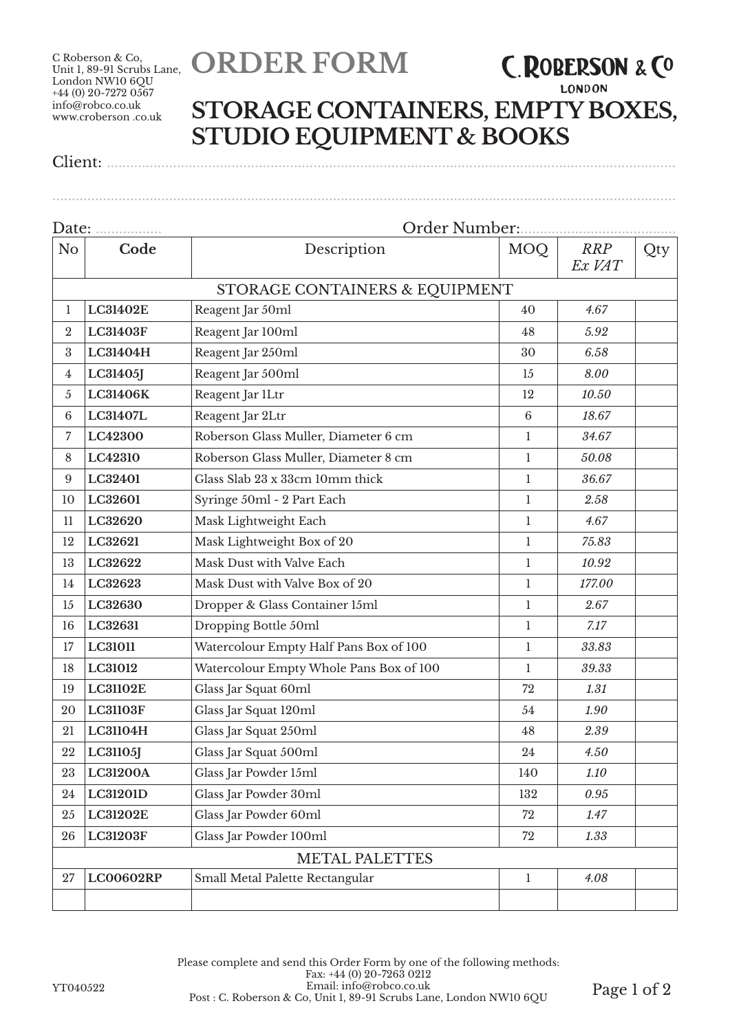C Roberson & Co, Unit 1, 89-91 Scrubs Lane, London NW10 6QU  $+44(0)$  20-7272 0567 info@robco.co.uk www.croberson .co.uk

## **ORDER FORM**

## **LONDON STORAGE CONTAINERS, EMPTY BOXES, STUDIO EQUIPMENT & BOOKS**

**C. ROBERSON & CO** 

Client: ..................................................................................................................................................

Date: ................. Order Number:........................................ No **Code Description** MOQ *RRP Ex VAT* Qty STORAGE CONTAINERS & EQUIPMENT **LC31402E** Reagent Jar 50ml 40 *4.67* **LC31403F** Reagent Jar 100ml 48 *5.92* **LC31404H** Reagent Jar 250ml 30 *6.58* **LC31405J** Reagent Jar 500ml 15 *8.00* **LC31406K** Reagent Jar 1Ltr 12 *10.50* **LC31407L** Reagent Jar 2Ltr 6 *18.67* **LC42300** Roberson Glass Muller, Diameter 6 cm 1 *34.67* **LC42310** Roberson Glass Muller, Diameter 8 cm 1 *50.08* **LC32401** Glass Slab 23 x 33cm 10mm thick 1 *36.67* **LC32601** Syringe 50ml - 2 Part Each 1 *2.58* **LC32620** Mask Lightweight Each 1 *4.67* **LC32621** Mask Lightweight Box of 20 1 *75.83* **LC32622** Mask Dust with Valve Each 1 1 1 10.92 **LC32623** Mask Dust with Valve Box of 20 1 1 177.00 **LC32630** Dropper & Glass Container 15ml 1 *2.67* **LC32631** Dropping Bottle 50ml 1 *7.17* **LC31011** Watercolour Empty Half Pans Box of 100 1 *33.83* **LC31012** Watercolour Empty Whole Pans Box of 100 1 *39.33* **LC31102E** Glass Jar Squat 60ml 72 *1.31* **LC31103F** Glass Jar Squat 120ml 54 *1.90* **LC31104H** Glass Jar Squat 250ml 48 *2.39* **LC31105J** Glass Jar Squat 500ml 24 *4.50* **LC31200A** Glass Jar Powder 15ml 140 *1.10* **LC31201D** Glass Jar Powder 30ml 132 *0.95* **LC31202E** Glass Jar Powder 60ml 72 *1.47* **LC31203F** Glass Jar Powder 100ml 72 *1.33* METAL PALETTES **LC00602RP** Small Metal Palette Rectangular 1 1 4.08